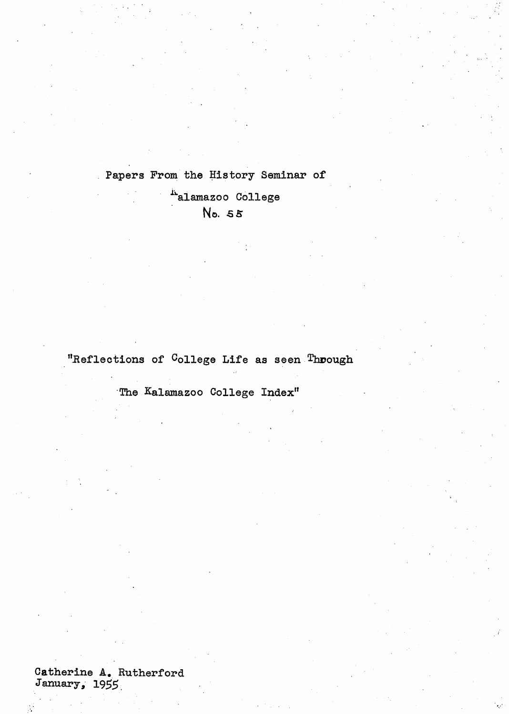Papers From the History Seminar of  $\mathbf{r}$ 

> Aalamazoo College . No. 55

"Reflections of <sup>C</sup>ollege Life as seen Through

'The Kalamazoo College Index"

Catherine **A.** Rutherford January, 1955.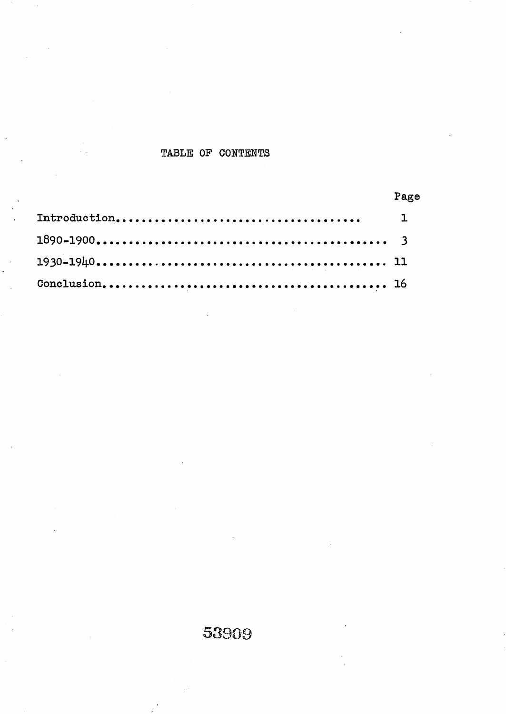### TABLE OF CONTENTS

 $\mathcal{L}$ 

| Page |
|------|
|      |
|      |
|      |
|      |

# 53909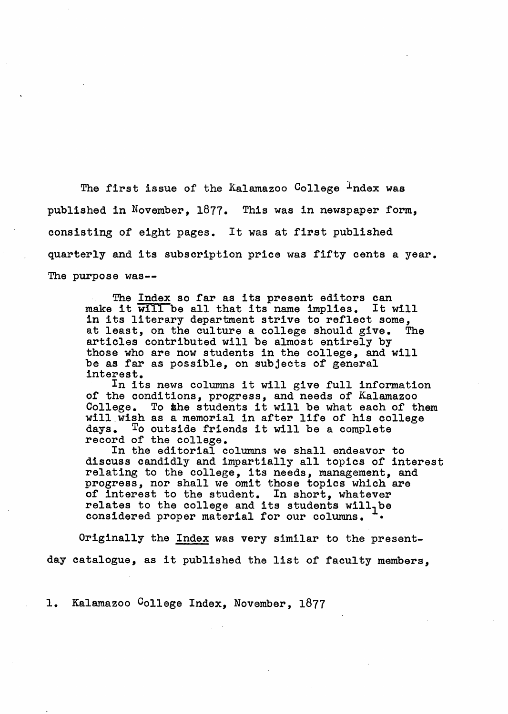The first issue of the Kalamazoo College  $\perp$ ndex was published in November, 1877. This was in newspaper form, consisting of eight pages. It was at first published quarterly and its subscription price was fifty cents a year. The purpose was--

The Index so far as its present editors can make it will be all that its name implies. It will in its literary department strive to reflect some,<br>at least, on the culture a college should give. The at least, on the culture a college should give. articles contributed will be almost entirely by those who are now students in the college, and will be as far as possible, on subjects of general interest.

In its news columns it will give full information of the conditions, progress, and needs of Kalamazoo College. To ahe students it will be what each of them will wish as a memorial in after life of his college days. To outside friends it will be <sup>a</sup> complete record of the college.

In the editorial columns we shall endeavor to discuss candidly and impartially all topics of interest relating to the college, its needs, management, and progress, nor shall we omit those topics which are of interest to the student. In short, whatever relates to the college and its students will, be considered proper material for our columns. •

Originally the Index was very similar to the presentday catalogue, as it published the list of faculty members,

1. Kalamazoo College Index, November, 1877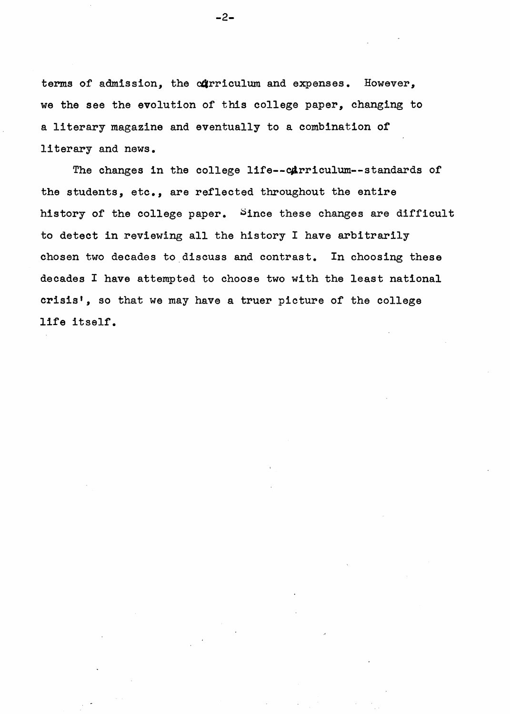terms of admission, the curriculum and expenses. However, we the see the evolution of this college paper, changing to a literary magazine and eventually to a combination of literary and news.

The changes in the college life--carriculum--standards of the students, etc., are reflected throughout the entire history of the college paper. Since these changes are difficult to detect in reviewing all the history I have arbitrarily chosen two decades to discuss and contrast. In choosing these decades I have attempted to choose two with the least national crisis', so that we may have <sup>a</sup> truer picture of the college life itself.

-2-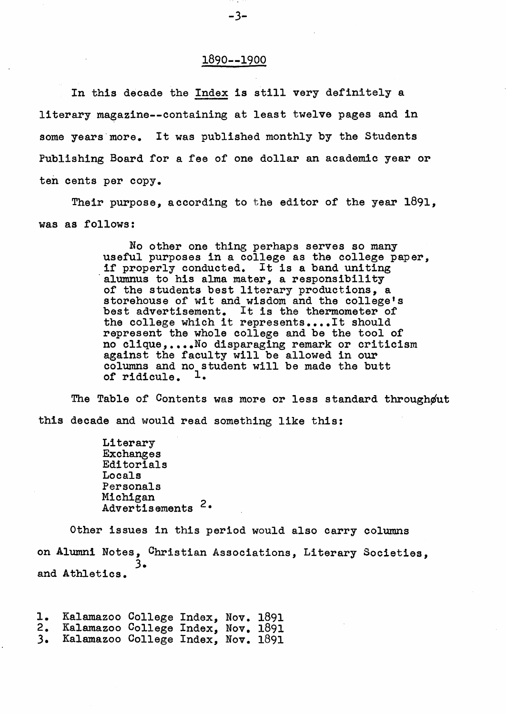#### 1890--1900

In this decade the Index is still very definitely <sup>a</sup> literary magazine--containing at least twelve pages and in some years more. It was published monthly by the Students Publishing Board for a fee of one dollar an academic year or ten cents per copy.

Their purpose, according to the editor of the year 1891, was as follows:

> No other one thing perhaps serves so many useful purposes in <sup>a</sup> college as the college paper, drawing if properly conducted. It is a band uniting alumnus to his alma mater, a responsibility alumnus to his alma mater, a responsibility of the students best literary productions, a storehouse of wit and wisdom and the college's best advertisement. It is the thermometer of the college which it represents....It should represent the whole college and be the tool of no c1ique, ••••No disparaging remark or criticism against the faculty will be allowed in our columns and no student will be made the butt of ridicule. <sup>1</sup>.

The Table of Contents was more or less standard throughout this decade and would read something like this:

> Literary Exchanges Editorials Locals Personals Michigan Advertisements<sup>2.</sup>

Other issues in this period would also carry columns on Alumni Notes, Christian Associations, Literary Societies, 3. and Athletics.

1. Kalamazoo College Index, Nov. 1891<br>2. Kalamazoo College Index. Nov. 1891 2. Kalamazoo College Index, Nov. 1891 3. Kalamazoo College Index, Nov. 1891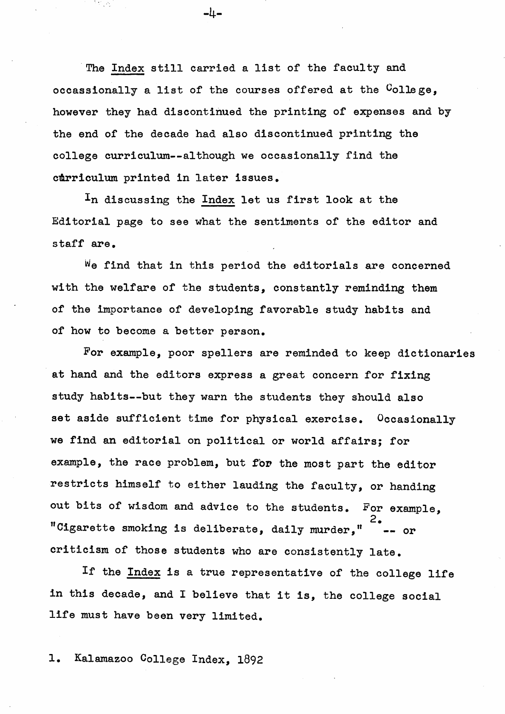The Index still carried a list of the faculty and occassionally a list of the courses offered at the College. however they had discontinued the printing of expenses and by the end of the decade had also discontinued printing the college curriculum--although we occasionally find the curriculum printed in later issues.

-4-

In discussing the Index let us first look at the Editorial page to see what the sentiments of the editor and staff are.

We find that in this period the editorials are concerned with the welfare of the students, constantly reminding them of the importance of developing favorable study habits and *ot* how to become a better person.

For example, poor spellers are reminded to keep dictionaries at hand and the editors express a great concern for fixing study habits--but they warn the students they should also set aside sufficient time for physical exercise. Occasionally we find an editorial on political or world affairs; for example, the race problem, but for the most part the editor restricts himself to either lauding the faculty, or handing out bits of wisdom and advice to the students. For example, 2. "Cigarette smoking is deliberate, daily murder." criticism of those students who are consistently late.

If the Index is a true representative of the college life in this decade, and <sup>I</sup> believe that it is, the college social life must have been very limited.

1. Kalamazoo College Index, 1892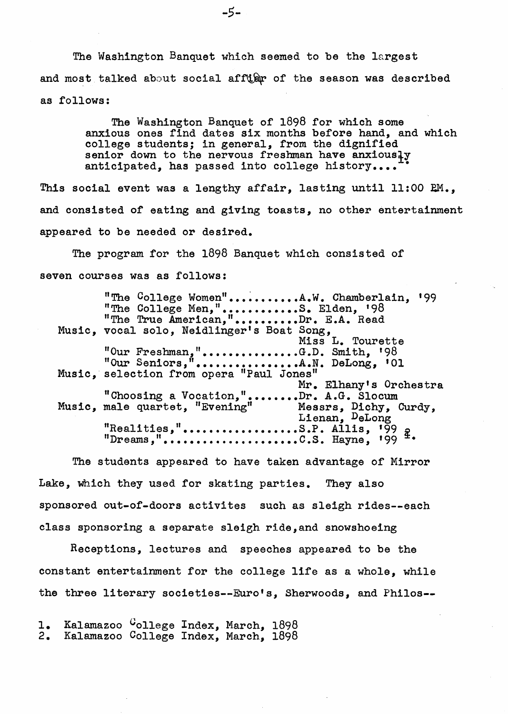The Washington Banquet which seemed to be the largest and most talked about social affular of the season was described as follows:

> The Washington Banquet of 1898 for which some anxious ones find dates six months before hand, and which college students; in general, from the dignified senior down to the nervous freshman have anxiously anticipated, has passed into college history....

This social event was a lengthy affair, lasting until  $11:00$   $RM$ ., and consisted of eating and giving toasts, no other entertainment appeared to be needed or desired.

The program for the 1898 Banquet which consisted of seven courses was as follows:

"The College Women"..........A.W. Chamberlain, '99 "The College Men,".............S. Elden, '98 "The True American,".........Dr. E.A. Read Music, vocal solo, Neidlinger's Boat Song, Miss L. Tourette "Our Freshman,"...............G.D. Smith,  $198$ "Our Senlors," ••••••••••••••••A.N. DeLong, 101 Music, selection from opera "Paul Jones" Mr. Elhany's Orchestra "Choosing a Vocation,".......Dr. A.G. Slocum<br>Music, male quartet, "Evening" Messrs, Dichy, ( Music, male quartet, "Evening" Messrs, Dichy, Curdy, Lienan, DeLong "Rea1ities," ••••••••••••••••••S.P. Allis, '99 !  $"D$ reams,"..........................C.S. Hayne, '99  $\pm$ .

The students appeared to have taken advantage of Mirror Lake, Which they used for skating parties. They also sponsored out-of-doors activites such as sleigh rides--each class sponsoring a separate sleigh ride, and snowshoeing

Receptions, lectures and speeches appeared to be the constant entertainment for the college life as <sup>a</sup> whole, while the three literary societies--Euro's, Sherwoods, and Phi1os--

1. Kalamazoo <sup>C</sup>ollege Index, March, 1898<br>2. Kalamazoo <sup>C</sup>ollege Index. March, 1898 Kalamazoo College Index, March, 1898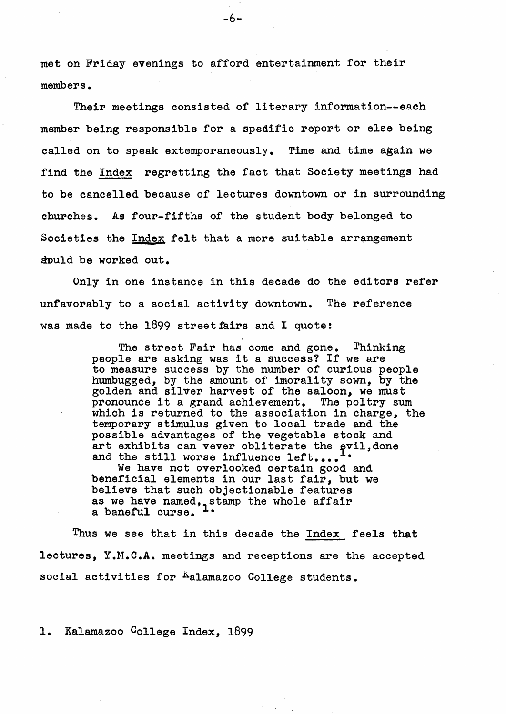met on Friday evenings to afford entertainment for their members.

Their meetings consisted of literary information--each member being responsible for a spedific report or else being called on to speak extemporaneously. Time and time again we find the Index regretting the fact that Society meetings had to be cancelled because of lectures downtown or in surrounding churches. As four-fifths of the student body belonged to Societies the Index felt that a more suitable arrangement should be worked out.

Only in one instance in this decade do the editors refer unfavorably to a social activity downtown. The reference was made to the  $1899$  street fairs and I quote:

> The street Fair has come and gone. Thinking people are asking was it <sup>a</sup> success? If we are to measure success by the number of curious people humbugged, by the amount of imorality sown, by the golden and silver harvest of the saloon, we must pronounce it <sup>a</sup> grand achievement. The poltry sum which is returned to the association in charge, the temporary stimulus given to local trade and the possible advantages of the vegetable stock and art exhibits can vever obliterate the evil, done and the still worse influence left....  $\ddotsc$

We have not overlooked certain good and beneficial elements in our last fair, but we believe that such objectionable features as we have named, stamp the whole affair a baneful curse.

Thus we see that in this decade the Index feels that lectures, Y.M.C.A. meetings and receptions are the accepted social activities for Aalamazoo College students.

1. Kalamazoo College Index, 1899

-6-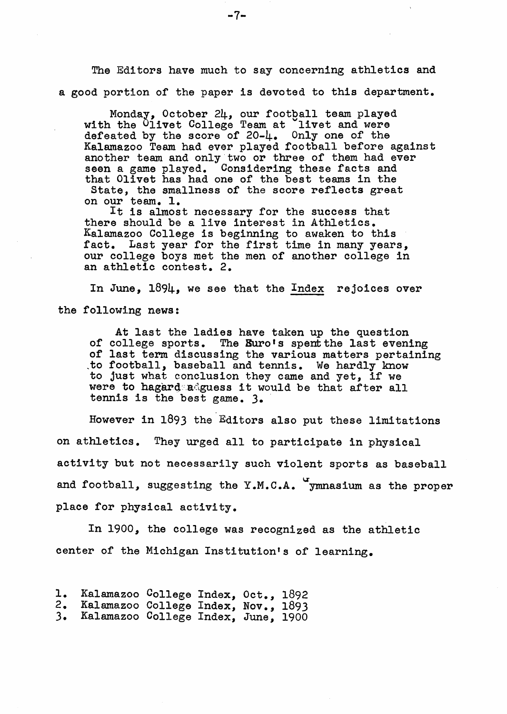The Editors have much to say concerning athletics and a good portion of the paper is devoted to this department.

Monday, October 24, our football team played with the Olivet College Team at livet and were defeated by the score of  $20-\frac{1}{4}$ . Only one of the Kalamazoo Team had ever played football before against another team and only two or three of them had ever seen a game played. Considering these facts and that Olivet has had one of the best teams in the State, the smallness of the score reflects great on our team. 1.

It is almost necessary for the success that there should be a live interest in Athletics. Kalamazoo College is beginning to awaken to this fact. Last year for the first time in many years, our college boys met the men of another college in an athletic contest. 2.

In June, 1894, we see that the Index rejoices over the following news:

At last the ladies have taken up the question of college sports. The Buro's spent the last evening of last term discussing the various matters pertaining ,to football, baseball and tennis. We hardly know to football, baseball and tennis. We hardly know were to hagard adguess it would be that after all tennis is the best game. 3. '

However in 1893 the'Editors also put these limitations on athletics. They urged all to participate in physical activity but not necessarily such violent sports as baseball and football, suggesting the Y.M.C.A.  $\gamma$ mnasium as the proper place for physical activity.

In 1900, the college was recognized as the athletic center of the Michigan Institution's of learning.

- 1. Kalamazoo College Index, Oct., 1892<br>2. Kalamazoo College Index, Nov., 1893
- 2. Kalamazoo College Index, Nov., 1893<br>3. Kalamazoo College Index. June. 1900 3. Kalamazoo College Index, June, 1900

-7-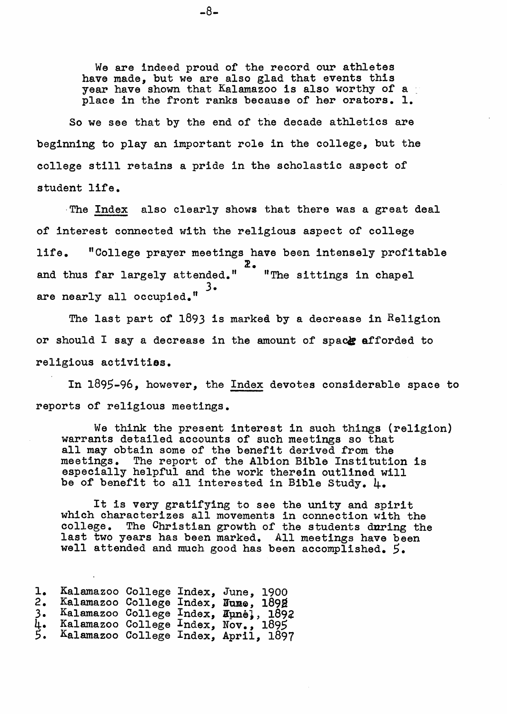We are indeed proud of the record our athletes have made, but we are also glad that events this year have shown that Kalamazoo is also worthy of a place in the front ranks because of her orators. 1.

So we see that by the end of the decade athletics are beginning to play an important role in the college, but the college still retains <sup>a</sup> pride in the scholastic aspect of student life.

·The Index also clearly shows that there was a great deal of interest connected with the religious aspect of college life. "College prayer meetings have been intensely profitable  $\mathbf{z}$ . and thus far largely attended." 3. are nearly all occupied." "The sittings in chapel

The last part of  $1893$  is marked by a decrease in Religion or should I say a decrease in the amount of space afforded to religious activities.

In 1895-96, however, the Index devotes considerable space to reports of religious meetings.

We think the present interest in such things (religion) warrants detailed accounts of such meetings so that all may obtain some of the benefit derived from the meetings. The report of the Albion Bible Institution is especially helpful and the work therein outlined will be of benefit to all interested in Bible Study. 4.

It is very gratifying to see the unity and spirit which characterizes all movements in connection with the college. The Christian growth of the students during the The Christian growth of the students during the last two years has been marked. All meetings have been rass one yours has soon marked. All meetings have been accomplished. 5.

| ı. | Kalamazoo College Index, June, 1900  |  |  |
|----|--------------------------------------|--|--|
| 2. | Kalamazoo College Index. Nume. 1892  |  |  |
| 3. | Kalamazoo College Index, Hunel, 1892 |  |  |
| 4. | Kalamazoo College Index, Nov., 1895  |  |  |
| 5. | Kalamazoo College Index, April, 1897 |  |  |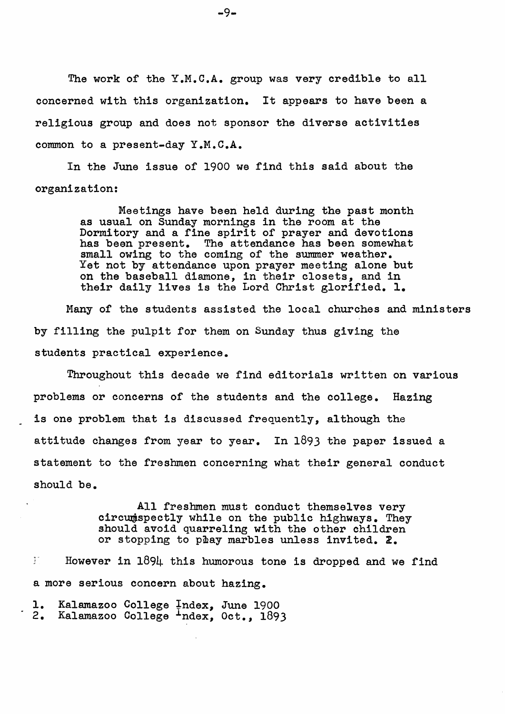The work of the Y.M.C.A. group was very credible to all concerned with this organization. It appears to have been <sup>a</sup> religious group and does not sponsor the diverse activities common to a present-day Y.M.C.A.

In the June issue of 1900 we find this said about the organization:

> Meetings have been held during the past month as usual on Sunday mornings in the room at the Dormitory and a fine spirit of prayer and devotions has been present. The attendance has been somewhat small owing to the coming of the summer weather. Yet not by attendance upon prayer meeting alone but on the baseball diamone, in their closets, and in their daily lives is the Lord Christ glorified. 1.

Many of the students assisted the local churches and ministers by filling the pulpit for them on Sunday thus giving the students practical experience.

Throughout this decade we find editorials written on various problems or concerns of the students and the college. Hazing is one problem that is discussed frequently, although the attitude changes from year to year. In 1893 the paper issued a statement to the freshmen concerning what their general conduct should be.

> All freshmen must conduct themselves very circumspectly while on the public highways. They should avoid quarreling with the other children or stopping to pmay marbles unless invited. *l.*

 $I$  However in  $1894$  this humorous tone is dropped and we find a more serious concern about hazing.

1. Kalamazoo College Index, June 1900<br>2. Kalamazoo College <sup>I</sup>ndex, Oct., 1893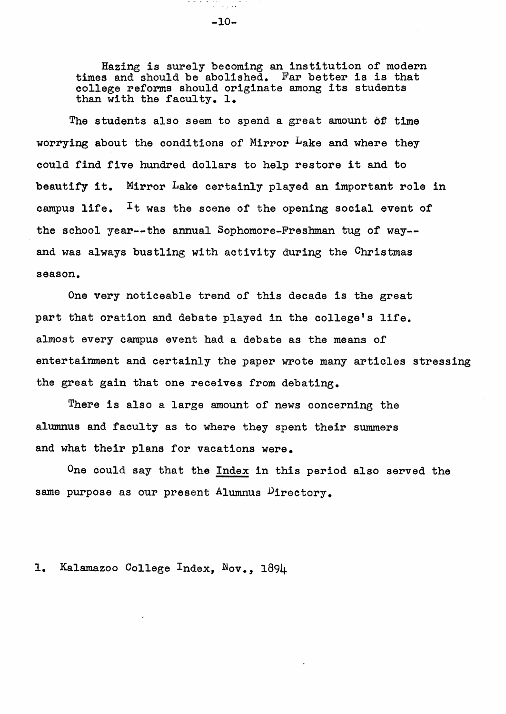Hazing is surely becoming an institution of modern times and should be abolished. Far better is is that college reforms should originate among its students than with the faculty. 1.

The students also seem to spend a great amount *ot* time worrying about the conditions of Mirror <sup>L</sup>ake and where they could find five hundred dollars to help restore it and to beautify it. Mirror Lake certainly played an important role in campus life.  $I_t$  was the scene of the opening social event of the school year--the annual Sophomore-Freshman tug of way- and was always bustling with activity during the Christmas season.

One very noticeable trend of this decade is the great part that oration and debate played in the college's life. almost every campus event had a debate as the means of entertainment and certainly the paper wrote many articles stressing the great gain that one receives from debating.

There is also a large amount of news concerning the alumnus and faculty as to where they spent their summers and what their plans for vacations were.

One could say that the Index in this period also served the same purpose as our present Alumnus Directory.

1. Kalamazoo College Index, Nov., 1894

ana<br>Kabupatèn -10-

the contract of the contract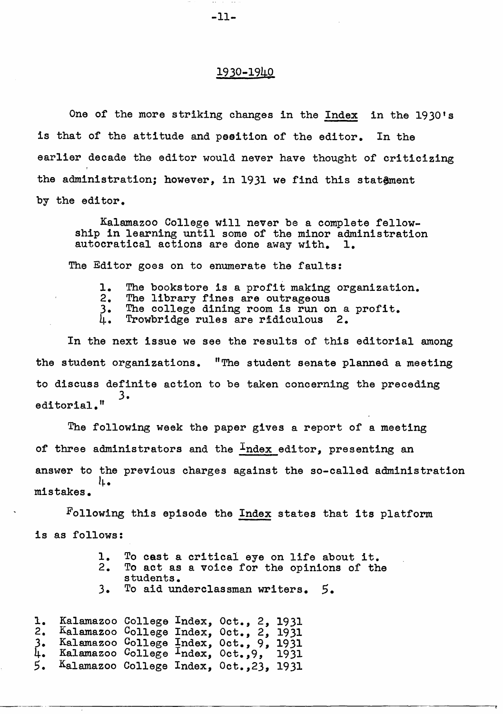#### 1930-1940

One of the more striking changes in the Index in the 1930's is that of the attitude and peeition of the editor. In the earlier decade the editor would never have thought of criticizing the administration; however, in 1931 we find this statement by the editor.

Kalamazoo College will never be a complete fellowship in learning until some of the minor administration autocratical actions are done away with. 1. autocratical actions are done away with.

The Editor goes on to enumerate the faults:

- 1. The bookstore is a profit making organization.<br>2. The library fines are outrageous
- 
- 3. The college dining room is run on a profit.  $\mu$ . Trowbridge rules are ridiculous 2.
- 

In the next issue we see the results of this editorial among the student organizations.  $\text{''The student sender channel}$  a meeting to discuss definite action to be taken concerning the preceding 3. editorial."

The following week the paper gives a report of a meeting of three administrators and the  $I$ ndex editor, presenting an answer to the previous charges against the so-called administration l~. mistakes.

Following this episode the Index states that its platform is as follows:

|  |  | 1. To cast a critical eye on life about it. |  |  |  |
|--|--|---------------------------------------------|--|--|--|
|  |  |                                             |  |  |  |

2. To act as a voice for the opinions of the students.

----~-------------------------------------.,

3. To aid underclassman writers. 5.

1. Kalamazoo College Index, Oct., 2, 1931<br>2. Kalamazoo College Index. Oct., 2, 1931 2. Kalamazoo College Index, Oct., 2, 1931 3. Kalamazoo College Index, Oct., 9, <sup>1931</sup> 4. Kalamazoo College Index, Oct.,9, <sup>1931</sup> 4. Kalamazoo <sup>C</sup>ollege <sup>1</sup>ndex, Oct.,9, 1931<br>5. Kalamazoo College Index, Oct.,23, 1931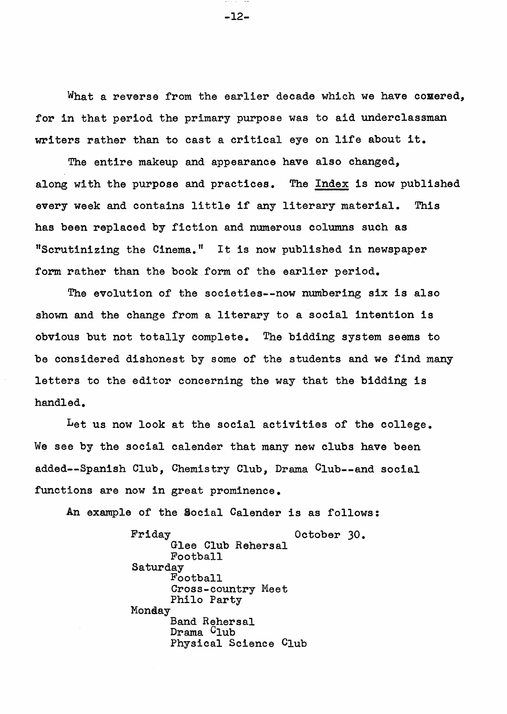What a reverse from the earlier decade which we have comered, for in that period the primary purpose was to aid underclassman writers rather than to cast <sup>a</sup> critical eye on life about it.

The entire makeup and appearance have also changed, along with the purpose and practices. The Index is now published every week and contains little if any literary material. This has been replaced by fiction and numerous columns such as "Scrutinizing the Cinema." It is now published in newspaper form rather than the book form of the earlier period.

The evolution of the societies--now numbering six is also shown and the change from a literary to a social intention is obvious but not totally complete. The bidding system seems to be considered dishonest by some of the students and we find many letters to the editor concerning the way that the bidding is handled.

Let us now look at the social activities of the college. We see by the social calender that many new clubs have been added--Spanish Club, Chemistry Club, Drama Club--and social functions are now in great prominence.

An example of the Social Calender is as follows:

Friday 0ctober 30. Glee Club Rehersal Football Saturday<br>Football Cross-country Meet Philo Party Monday Band Rehersal Drama <sup>C</sup>lub Physical Science Club

-12-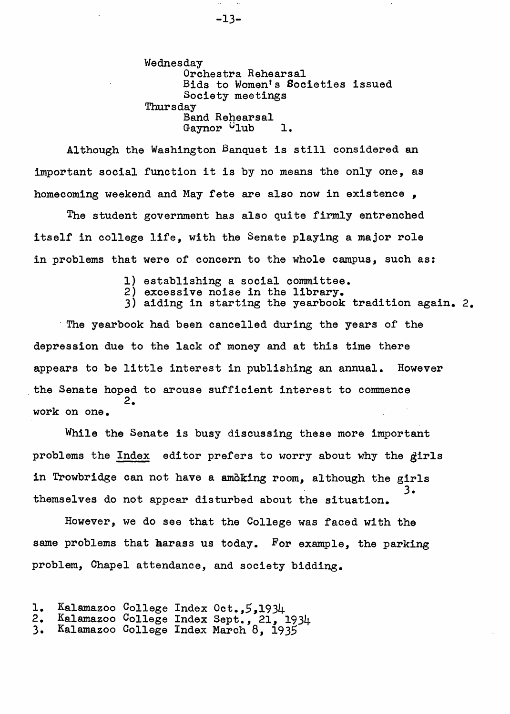Wednesday Orchestra Rehearsal Bids to Women's Societies issued Society meetings<br>Thursday Band Rehearsal Gaynor  $C_{\text{lub}}$  1.

Although the Washington Banquet is still considered an important social function it is by no means the only one, as homecoming weekend and May fete are also now in existence ,

The student government has also quite firmly entrenched itself in college life, with the Senate playing a major role in problems that were of concern to the whole campus, such as:

- 1) establishing a social committee.
- 2) excessive noise in the library.
- 3) aiding in starting the yearbook tradition again. 2.

. The yearbook had been cancelled during the years of the depression due to the lack of money and at this time there appears to be little interest in publishing an annual. However the Senate hoped to arouse sufficient interest to commence 2. work on one.

While the Senate is busy discussing these more important problems the Index editor prefers to worry about why the girls in Trowbridge can not have a amoking room, although the girls 3. themselves do not appear disturbed about the situation.

However, we do see that the College was faced with the same problems that harass us today. For example, the parking problem, Chapel attendance, and society bidding.

2. Kalamazoo College Index Sept., 21, 1934

<sup>1.</sup> Kalamazoo College Index Oct., 5,1934<br>2. Kalamazoo College Index Sept., 21, 1

<sup>3.</sup> Kalamazoo College Index March 8, 1935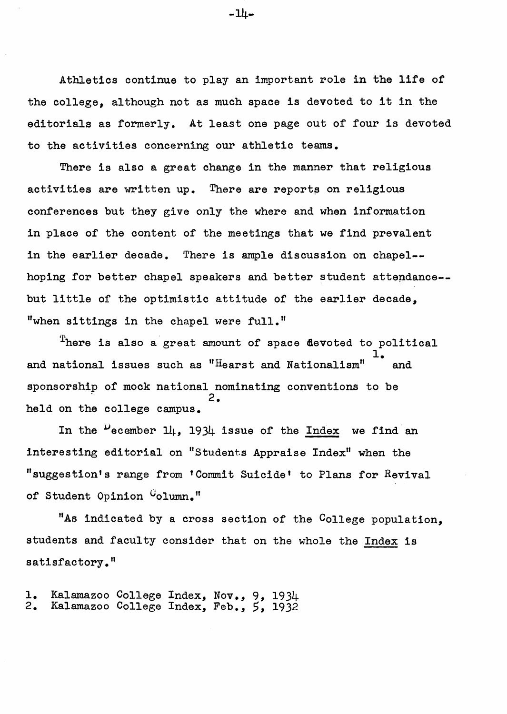Athletics continue to play an important role in the life of the college, although not as much space is devoted to it in the editorials as formerly. At least one page out of four is devoted to the activities concerning our athletic teams.

There is also a great change in the manner that religious activities are written up. There are reports on religious conferences but they give only the where and when information in place of the content of the meetings that we find prevalent in the earlier decade. There is ample discussion on chapel- hoping for better chapel speakers and better student attendance-but little of the optimistic attitude of the earlier decade, "when sittings in the chapel were full."

There is also a great amount of space devoted to political 1. and national issues such as " $H$ earst and Nationalism"  $\ddot{\phantom{a}}$  and sponsorship of mock national nominating conventions to be 2. held on the college campus.

In the  $\mu$  ecember 14, 1934 issue of the Index we find an interesting editorial on "Students Appraise Index" when the nsuggestion's range from 'Commit Suicide' to Plans for Revival of Student Opinion Column."

"As indicated by a cross section of the College population, students and faculty consider that on the whole the Index is satisfactory."

1. Kalamazoo College Index, Nov., 9, 1934 2. Kalamazoo College Index, Feb., 5, 1932

-14-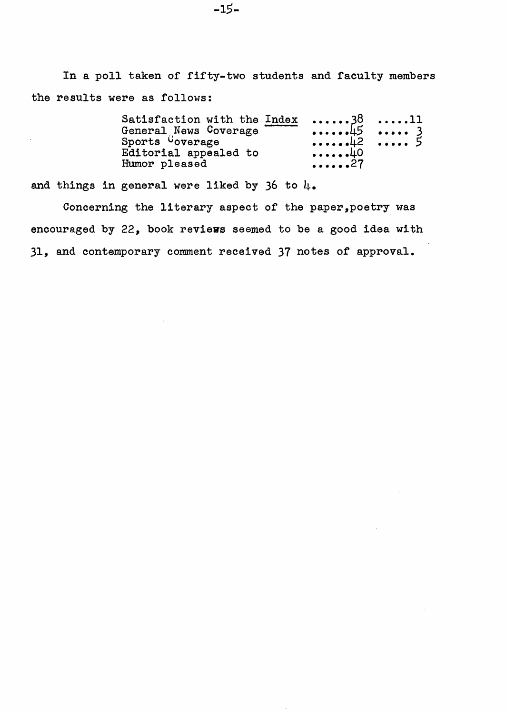In a poll taken of fifty-two students and faculty members the results were as follows:

| Satisfaction with the Index | $\ldots$ 38 11                              |  |
|-----------------------------|---------------------------------------------|--|
| General News Coverage       | $\cdots \cdots \pm 5$ $\cdots \cdots$ 3     |  |
| Sports Coverage             | $\cdots \cdots \cdots$ 42 $\cdots \cdots$ 5 |  |
| Editorial appealed to       | $\cdots \cdots \cdot 40$                    |  |
| Humor pleased               | . 27                                        |  |

and things in general were liked by 36 to  $\mu_{\bullet}$ 

 $\sim$  .

Concerning the literary aspect of the paper,poetry was encouraged by 22, book reviews seemed to be a good idea with 31, and contemporary comment received 37 notes of approval.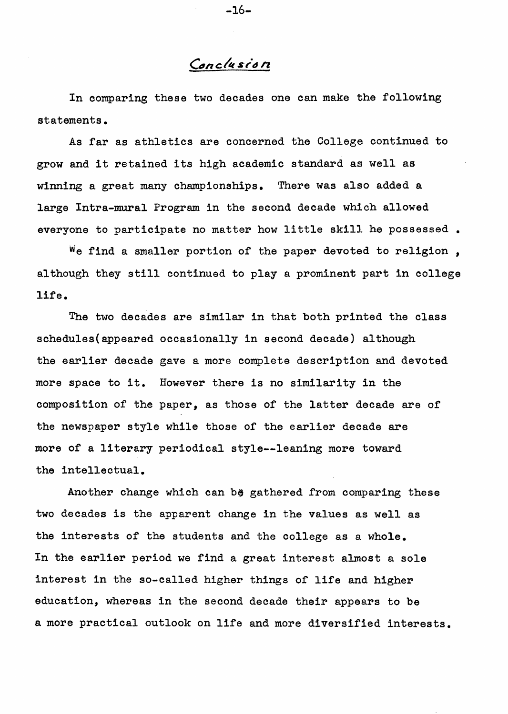## Conclusion

In comparing these two decades one can make the following statements.

As far as athletics are concerned the College continued to grow and it retained its high academic standard as well as winning a great many championships. There was also added a large Intra-mural Program in the second decade which allowed everyone to participate no matter how little skill he possessed.

 $W$ e find a smaller portion of the paper devoted to religion, although they still continued to play a prominent part in college life.

The two decades are similar in that both printed the class schedules(appeared occasionally in second decade) although the earlier decade gave a more complete description and devoted more space to it. However there is no similarity in the composition of the paper, as those of the latter decade are of the newspaper style while those of the earlier decade are more of a literary periodical style--leaning more toward the intellectual.

Another change which can be gathered from comparing these two decades is the apparent change in the values as well as the interests of the students and the college as a whole. In the earlier period we find a great interest almost a sole interest in the so-called higher things of life and higher education, whereas in the second decade their appears to be a more practical outlook on life and more diversified interests.

-16-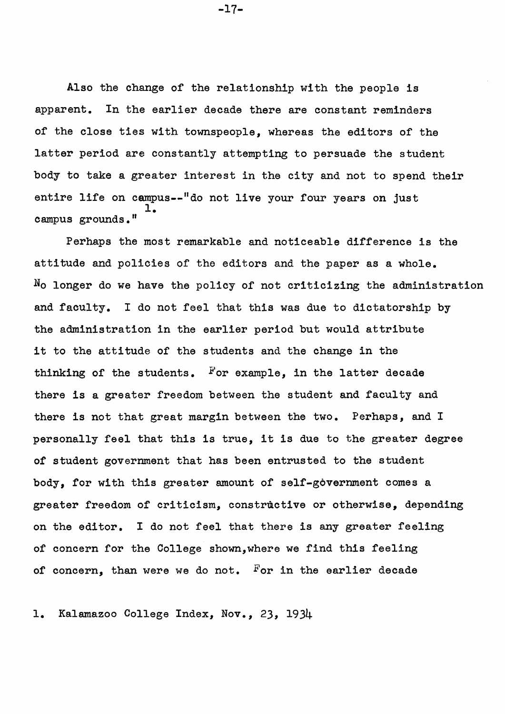Also the change of the relationship with the people is apparent. In the earlier decade there are constant reminders of the close ties with townspeople, whereas the editors of the latter period are constantly attempting to persuade the student body to take a greater interest in the city and not to spend their entire life on campus--"do not live your four years on just 1. campus grounds."

Perhaps the most remarkable and noticeable difference is the attitude and policies of the editors and the paper as a whole.  $N<sub>O</sub>$  longer do we have the policy of not criticizing the administration and faculty. I do not feel that this was due to dictatorship by the administration in the earlier period but would attribute it to the attitude of the students and the change in the thinking of the students. For example, in the latter decade there is a greater freedom between the student and faculty and there is not that great margin between the two. Perhaps, and I personally feel that this is true, it is due to the greater degree of student government that has been entrusted to the student body, for with this greater amount of self-government comes a greater freedom of criticism, constructive or otherwise, depending on the editor. I do not feel that there is any greater feeling of concern for the College shown,where we find this feeling of concern, than were we do not. For in the earlier decade

1. Kalamazoo College Index, Nov., 23, 1934

-17-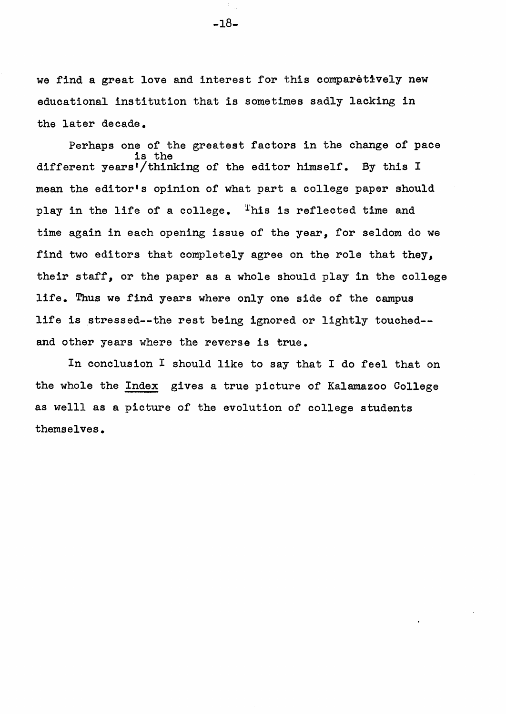we find a great love and interest for this comparetively new educational institution that is sometimes sadly lacking in the later decade.

Perhaps one of the greatest factors in the change of pace is the different years'/thinking of the editor himself. By this I mean the editor's opinion of what part a college paper should play in the life of a college. This is reflected time and time again in each opening issue of the year, for seldom do we find two editors that completely agree on the role that they, their staff, or the paper as a whole should play in the college life. Thus we find years where only one side of the campus life is stressed--the rest being ignored or lightly touched-and other years where the reverse is true.

In conclusion I should like to say that I do feel that on the whole the Index gives a true picture of Kalamazoo College as weIll as a picture of the evolution of college students themselves.

-18-